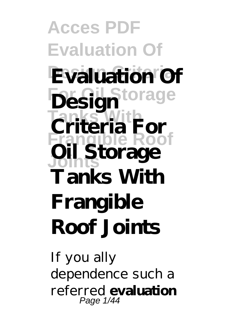**Acces PDF Evaluation Of Evaluation Of For Oil Storage Design Tanks Tanks Tanks Tanks With Frangible Roof Joints Oil Storage Tanks With Frangible Roof Joints**

If you ally dependence such a referred **evaluation** Page 1/44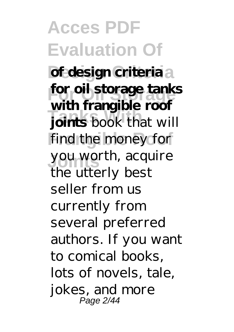**Acces PDF Evaluation Of Design Criteria of design criteria For Oil Storage for oil storage tanks Tanks Book** that will find the money for **Joints** you worth, acquire **with frangible roof** the utterly best seller from us currently from several preferred authors. If you want to comical books, lots of novels, tale, jokes, and more Page 2/44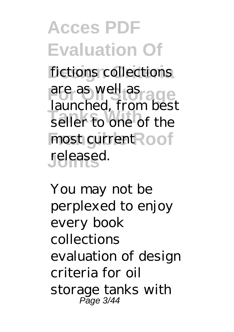**Acces PDF Evaluation Of** fictions collections are as well as **Tanks With** seller to one of the most current Roof **Joints** released. launched, from best

You may not be perplexed to enjoy every book collections evaluation of design criteria for oil storage tanks with Page 3/44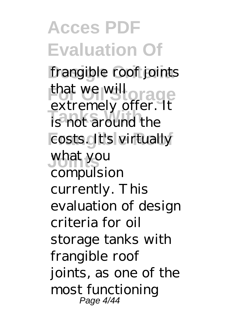**Acces PDF Evaluation Of** frangible roof joints that we will orage **Tanks With** is not around the costs. It's virtually **Joints** what you extremely offer. It compulsion currently. This evaluation of design criteria for oil storage tanks with frangible roof joints, as one of the most functioning Page 4/44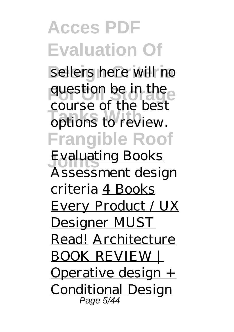## **Acces PDF Evaluation Of** sellers here will no question be in the **Tanks With** options to review. **Frangible Roof Evaluating Books** course of the best *Assessment design criteria* 4 Books Every Product / UX Designer MUST Read! Architecture BOOK REVIEW | Operative design + Conditional Design Page 5/44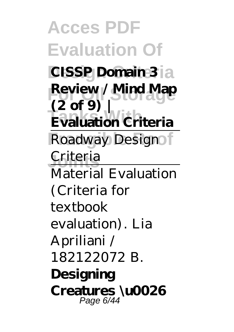**Acces PDF Evaluation Of CISSP Domain 3** a **Review / Mind Map Evaluation Criteria** Roadway Design Criteria **(2 of 9) |** Material Evaluation (Criteria for textbook evaluation). Lia Apriliani / 182122072 B. **Designing Creatures \u0026** Page 6/44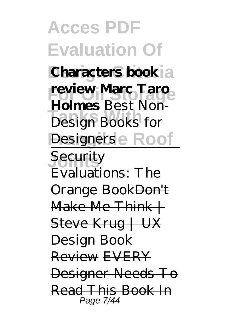**Acces PDF Evaluation Of Characters book**<sup>2</sup> **review Marc Taro Tanks With** *Design Books for Designers* **e** Roof **Joints** Security **Holmes** *Best Non-*Evaluations: The Orange Book<del>Don't</del> Make Me  $Think +$ Steve Krug | UX Design Book Review EVERY Designer Needs To Read This Book In Page 7/44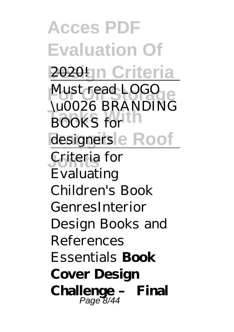**Acces PDF Evaluation Of 2020** Ign Criteria Must read LOGO **BOOKS** for designers<sup>l</sup>e Roof **Joints** Criteria for \u0026 BRANDING Evaluating Children's Book Genres*Interior Design Books and References Essentials* **Book Cover Design Challenge – Final** Page 8/44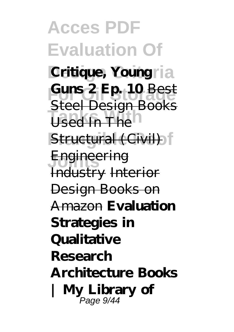**Acces PDF Evaluation Of Critique, Youngria For Oil Storage Guns 2 Ep. 10** Best **Used In The Structural (Civil) Joints** Engineering Steel Design Books Industry Interior Design Books on Amazon **Evaluation Strategies in Qualitative Research Architecture Books | My Library of** Page 9/44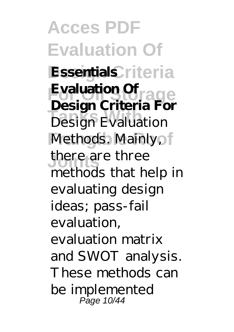**Acces PDF Evaluation Of Essentials** riteria **Evaluation Of**<br> **Position Culture Tangh Criteria** Pe Methods. Mainly, **Joints** there are three **Design Criteria For** methods that help in evaluating design ideas; pass-fail evaluation, evaluation matrix and SWOT analysis. These methods can be implemented Page 10/44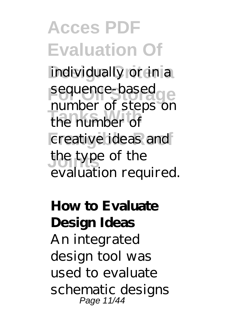**Acces PDF Evaluation Of** individually or in a sequence-based<br>
mumber of stage **Tanks With** the number of creative ideas and the type of the number of steps on evaluation required.

**How to Evaluate Design Ideas**

An integrated design tool was used to evaluate schematic designs Page 11/44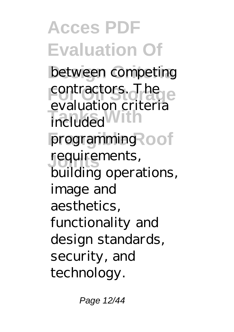**Acces PDF Evaluation Of** between competing contractors. The included<sup>With</sup> programming **cof Joints** requirements, evaluation criteria building operations, image and aesthetics, functionality and design standards, security, and technology.

Page 12/44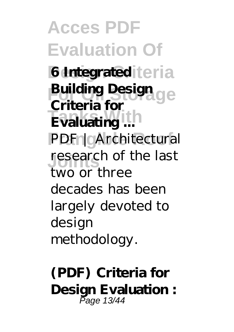**Acces PDF Evaluation Of 6 Integrated** teria **Building Design<br>
Guitaria** formula **Evaluating ...** PDF | Architectural research of the last **Criteria for** two or three decades has been largely devoted to design methodology.

**(PDF) Criteria for Design Evaluation :** Page 13/44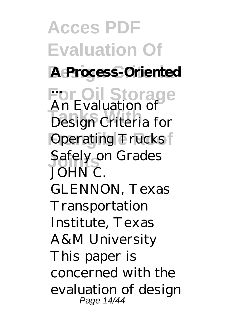**Acces PDF Evaluation Of A Process-Oriented For Oil Storage ... Tanks With** Design Criteria for **Operating Trucks** Safely on Grades An Evaluation of JOHN C. GLENNON, Texas **Transportation** Institute, Texas A&M University This paper is concerned with the evaluation of design Page 14/44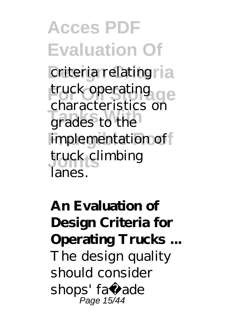**Acces PDF Evaluation Of** criteria relating<sub>ria</sub> truck operating grades to the implementation of **Joints** truck climbing characteristics on lanes.

**An Evaluation of Design Criteria for Operating Trucks ...** The design quality should consider shops' faç ade Page 15/44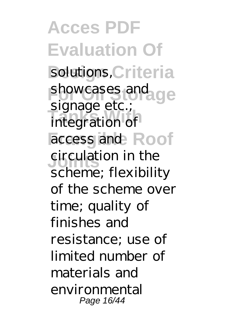**Acces PDF Evaluation Of** solutions, Criteria showcases and ge **Tange Steep** access and Roof **Singulation** in the signage etc.; scheme; flexibility of the scheme over time; quality of finishes and resistance; use of limited number of materials and environmental Page 16/44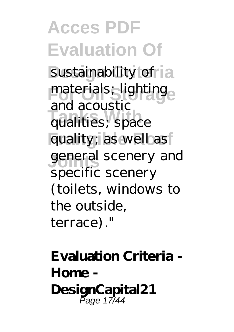**Acces PDF Evaluation Of** sustainability of la materials; lighting<sub>e</sub> **Tanks With** qualities; space quality; as well as general scenery and and acoustic specific scenery (toilets, windows to the outside, terrace)."

**Evaluation Criteria - Home - DesignCapital21** Page 17/44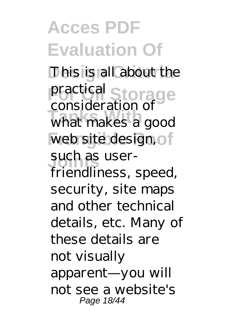**Acces PDF Evaluation Of** This is all about the practical Storage **Tanks With** what makes a good web site design, of such as userconsideration of friendliness, speed, security, site maps and other technical details, etc. Many of these details are not visually apparent—you will not see a website's Page 18/44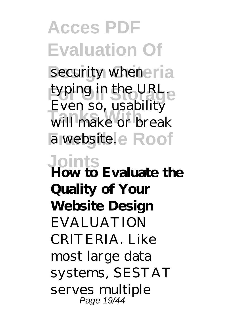**Acces PDF Evaluation Of** security whener<sup>ia</sup> typing in the URL. **Tanks With** will make or break a websitele Roof **Joints How to Evaluate the** Even so, usability **Quality of Your Website Design EVALUATION** CRITERIA. Like most large data systems, SESTAT serves multiple Page 19/44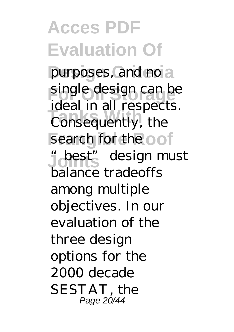**Acces PDF Evaluation Of** purposes, and no a single design can be **Take With Withest Consequently**, the search for the oof  $J$ **design must** ideal in all respects. balance tradeoffs among multiple objectives. In our evaluation of the three design options for the 2000 decade SESTAT, the Page 20/44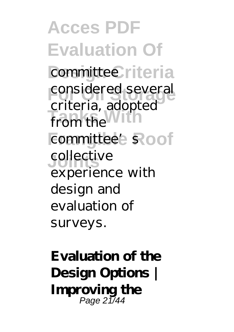**Acces PDF Evaluation Of** committee riteria considered several **Tanks With** from the committee's Roof **Joints** collective criteria, adopted experience with design and evaluation of surveys.

**Evaluation of the Design Options | Improving the** Page 21/44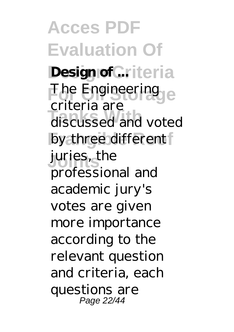**Acces PDF Evaluation Of Design of ...** iteria The Engineering **Tanks With** discussed and voted by three different **Joints** juries, the criteria are professional and academic jury's votes are given more importance according to the relevant question and criteria, each questions are Page 22/44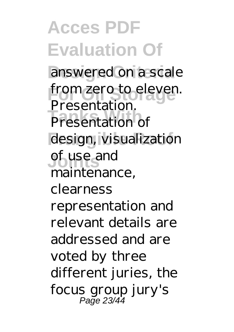**Acces PDF Evaluation Of** answered on a scale from zero to eleven.<br>Presentation **Presentation** of design, visualization **Joints** of use and Presentation. maintenance, clearness representation and relevant details are addressed and are voted by three different juries, the focus group jury's Page 23/44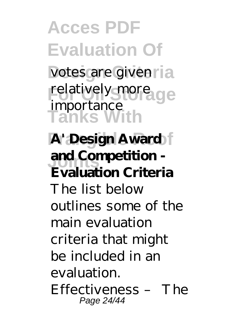**Acces PDF Evaluation Of** votes are given ria relatively more ge **Tanks With A' Design Award Joints and Competition**  importance **Evaluation Criteria** The list below outlines some of the main evaluation criteria that might be included in an evaluation. Effectiveness – The Page 24/44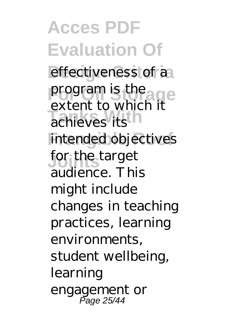**Acces PDF Evaluation Of** effectiveness of a program is the age achieves its intended objectives for the target extent to which it audience. This might include changes in teaching practices, learning environments, student wellbeing, learning engagement or Page 25/44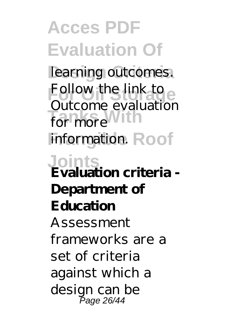**Acces PDF Evaluation Of** learning outcomes. Follow the link to for more With information. Roof **Joints Evaluation criteria -** Outcome evaluation **Department of Education** Assessment frameworks are a set of criteria against which a design can be Page 26/44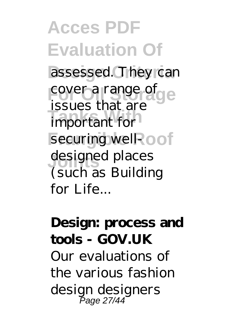**Acces PDF Evaluation Of** assessed. They can cover a range of **The State of State With** securing well-cof designed places issues that are (such as Building for Life...

**Design: process and tools - GOV.UK** Our evaluations of the various fashion design designers Page 27/44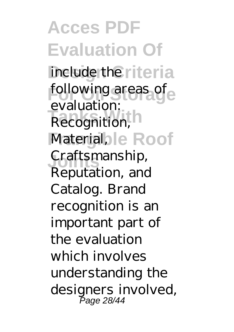**Acces PDF Evaluation Of** include the riteria following areas of Recognition, **N** Material, le Roof **Joints** Craftsmanship, evaluation: Reputation, and Catalog. Brand recognition is an important part of the evaluation which involves understanding the designers involved, Page 28/44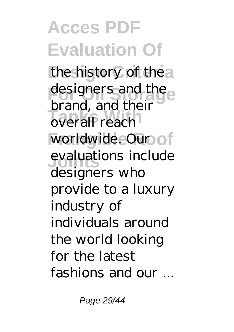**Acces PDF Evaluation Of** the history of the a designers and the **Drana, and the** worldwide. Our of evaluations include brand, and their designers who provide to a luxury industry of individuals around the world looking for the latest fashions and our ...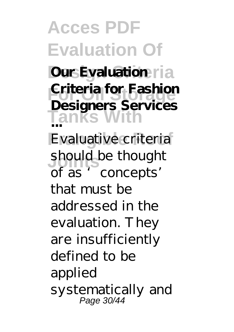**Acces PDF Evaluation Of Dur Evaluation** ria **Fortheria** for Fashion **Tanks With** Evaluative criteria should be thought **Designers Services ...** of as 'concepts' that must be addressed in the evaluation. They are insufficiently defined to be applied systematically and Page 30/44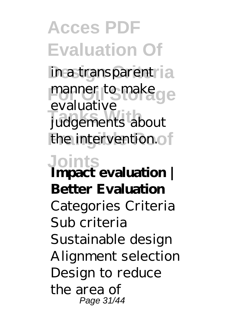**Acces PDF Evaluation Of** in a transparent i a manner to make ge **Tanks With** judgements about the intervention.of evaluative

**Joints Impact evaluation | Better Evaluation** Categories Criteria Sub criteria Sustainable design Alignment selection Design to reduce the area of Page 31/44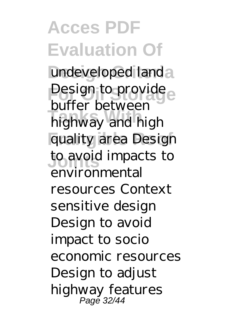**Acces PDF Evaluation Of** undeveloped landa Design to provide **Tanks** Between quality area Design **Joints** to avoid impacts to buffer between environmental resources Context sensitive design Design to avoid impact to socio economic resources Design to adjust highway features Page 32/44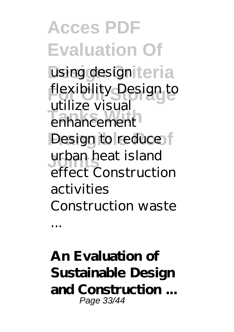**Acces PDF Evaluation Of** using design teria flexibility Design to enhancement Design to reduce **Joints** urban heat island utilize visual effect Construction activities Construction waste ...

**An Evaluation of Sustainable Design and Construction ...** Page 33/44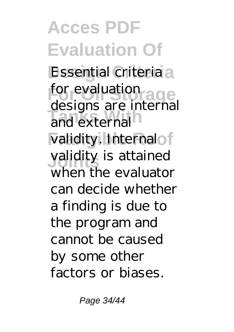**Acces PDF Evaluation Of Essential criteria** a for evaluation<br>designs and integer and external validity. Internalof **Joints** validity is attained designs are internal when the evaluator can decide whether a finding is due to the program and cannot be caused by some other factors or biases.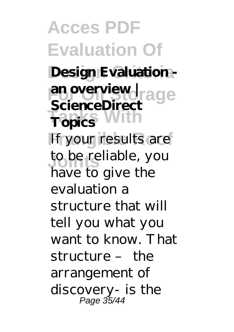**Acces PDF Evaluation Of** Design Evaluation -**For Oil Storage an overview | Tanks With Topics** If your results are **Joints** to be reliable, you **ScienceDirect** have to give the evaluation a structure that will tell you what you want to know. That structure – the arrangement of discovery- is the Page 35/44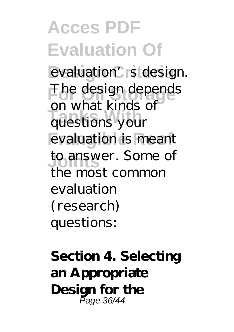## **Acces PDF Evaluation Of**

evaluation's design. The design depends **Tanks With** questions your evaluation is meant to answer. Some of on what kinds of the most common evaluation (research) questions:

**Section 4. Selecting an Appropriate Design for the** Page 36/44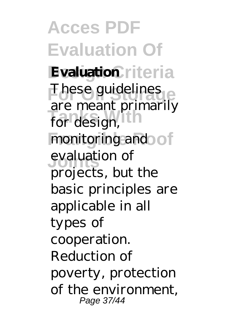**Acces PDF Evaluation Of Evaluation** riteria These guidelines **Tanks With** for design, monitoring and of **Joints** evaluation of are meant primarily projects, but the basic principles are applicable in all types of cooperation. Reduction of poverty, protection of the environment, Page 37/44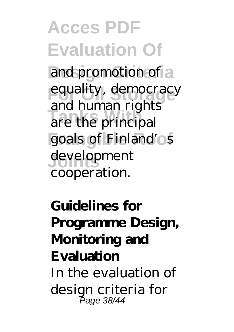**Acces PDF Evaluation Of** and promotion of a equality, democracy are the principal goals of Finland'os **Joints** development and human rights cooperation.

**Guidelines for Programme Design, Monitoring and Evaluation** In the evaluation of design criteria for Page 38/44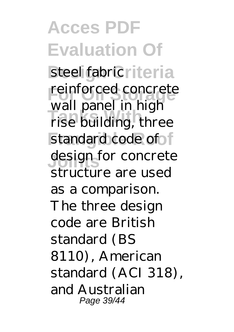**Acces PDF Evaluation Of** steel fabric<sub>lleria</sub> reinforced concrete wan paner in mg.r. standard code of design for concrete wall panel in high structure are used as a comparison. The three design code are British standard (BS 8110), American standard (ACI 318), and Australian Page 39/44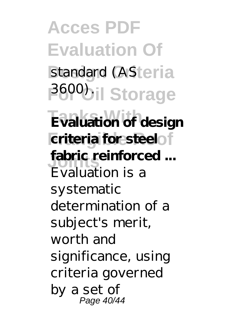**Acces PDF Evaluation Of** standard (ASteria **3600bil Storage Evaluation of design criteria** for steel fabric reinforced ... Evaluation is a systematic determination of a subject's merit, worth and significance, using criteria governed by a set of Page 40/44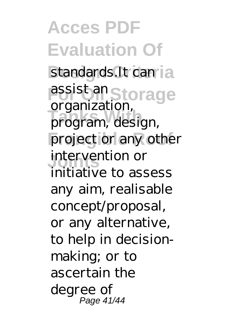**Acces PDF Evaluation Of** standards.It can la assist an Storage **Tanks With** program, design, project or any other **Joints** intervention or organization, initiative to assess any aim, realisable concept/proposal, or any alternative, to help in decisionmaking; or to ascertain the degree of Page 41/44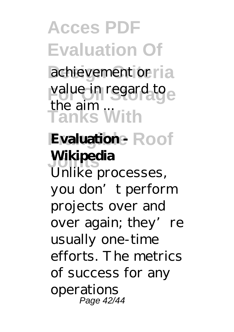**Acces PDF Evaluation Of** achievement or ria value in regard to **Tanks With Evaluation - Roof Joints Wikipedia** the aim ... Unlike processes, you don't perform projects over and over again; they' re usually one-time efforts. The metrics of success for any operations Page 42/44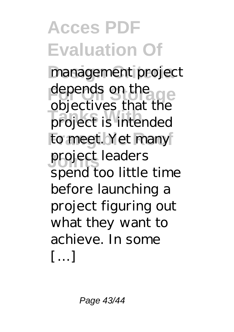**Acces PDF Evaluation Of** management project depends on the ge **Tanks With** project is intended to meet. Yet many **Joints** project leaders objectives that the spend too little time before launching a project figuring out what they want to achieve. In some […]